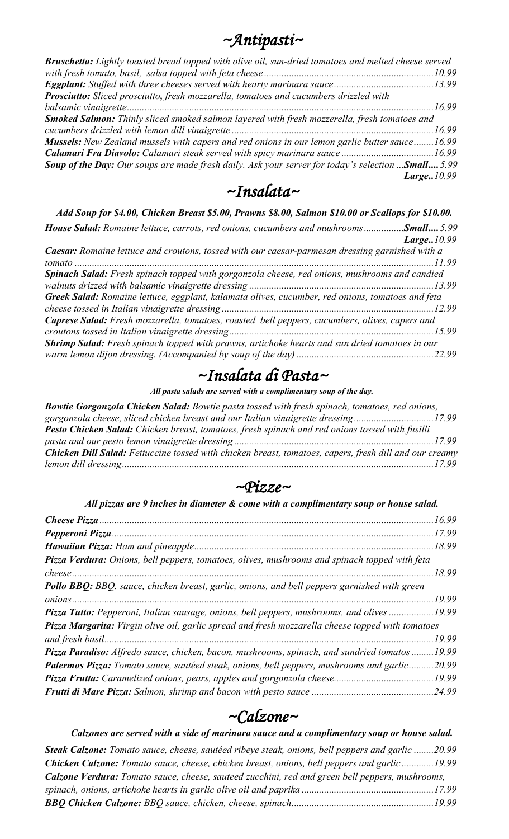| $\neg Antipasti \sim$ |  |
|-----------------------|--|
|                       |  |

| <b>Bruschetta:</b> Lightly toasted bread topped with olive oil, sun-dried tomatoes and melted cheese served |            |
|-------------------------------------------------------------------------------------------------------------|------------|
|                                                                                                             |            |
|                                                                                                             |            |
| Prosciutto: Sliced prosciutto, fresh mozzarella, tomatoes and cucumbers drizzled with                       |            |
|                                                                                                             |            |
| <b>Smoked Salmon:</b> Thinly sliced smoked salmon layered with fresh mozzerella, fresh tomatoes and         |            |
|                                                                                                             |            |
| Mussels: New Zealand mussels with capers and red onions in our lemon garlic butter sauce16.99               |            |
|                                                                                                             |            |
| Soup of the Day: Our soups are made fresh daily. Ask your server for today's selection  Small 5.99          |            |
|                                                                                                             | Large10.99 |
|                                                                                                             |            |

#### *~Insalata~*

|  | Add Soup for \$4.00, Chicken Breast \$5.00, Prawns \$8.00, Salmon \$10.00 or Scallops for \$10.00. |
|--|----------------------------------------------------------------------------------------------------|
|--|----------------------------------------------------------------------------------------------------|

| <b>House Salad:</b> Romaine lettuce, carrots, red onions, cucumbers and mushroomsSmall 5.99      |             |
|--------------------------------------------------------------------------------------------------|-------------|
|                                                                                                  | Large.10.99 |
| Caesar: Romaine lettuce and croutons, tossed with our caesar-parmesan dressing garnished with a  |             |
|                                                                                                  |             |
| Spinach Salad: Fresh spinach topped with gorgonzola cheese, red onions, mushrooms and candied    |             |
|                                                                                                  |             |
| Greek Salad: Romaine lettuce, eggplant, kalamata olives, cucumber, red onions, tomatoes and feta |             |
|                                                                                                  |             |
| Caprese Salad: Fresh mozzarella, tomatoes, roasted bell peppers, cucumbers, olives, capers and   |             |
|                                                                                                  |             |
| Shrimp Salad: Fresh spinach topped with prawns, artichoke hearts and sun dried tomatoes in our   |             |
|                                                                                                  |             |

# *~Insalata di Pasta~*

#### *All pasta salads are served with a complimentary soup of the day.*

| <b>Bowtie Gorgonzola Chicken Salad:</b> Bowtie pasta tossed with fresh spinach, tomatoes, red onions,  |  |
|--------------------------------------------------------------------------------------------------------|--|
| gorgonzola cheese, sliced chicken breast and our Italian vinaigrette dressing17.99                     |  |
| Pesto Chicken Salad: Chicken breast, tomatoes, fresh spinach and red onions tossed with fusilli        |  |
|                                                                                                        |  |
| Chicken Dill Salad: Fettuccine tossed with chicken breast, tomatoes, capers, fresh dill and our creamy |  |
|                                                                                                        |  |

#### *~Pizze~*

## *All pizzas are 9 inches in diameter & come with a complimentary soup or house salad.*

|                                                                                                     | .18.99 |
|-----------------------------------------------------------------------------------------------------|--------|
| Pizza Verdura: Onions, bell peppers, tomatoes, olives, mushrooms and spinach topped with feta       |        |
|                                                                                                     | 18.99  |
| <b>Pollo BBQ:</b> BBQ. sauce, chicken breast, garlic, onions, and bell peppers garnished with green |        |
|                                                                                                     | 19.99  |
| Pizza Tutto: Pepperoni, Italian sausage, onions, bell peppers, mushrooms, and olives 19.99          |        |
| Pizza Margarita: Virgin olive oil, garlic spread and fresh mozzarella cheese topped with tomatoes   |        |
|                                                                                                     | 19.99  |
| <b>Pizza Paradiso:</b> Alfredo sauce, chicken, bacon, mushrooms, spinach, and sundried tomatos      | 19.99  |
| <b>Palermos Pizza:</b> Tomato sauce, sautéed steak, onions, bell peppers, mushrooms and garlic.     | 20.99  |
|                                                                                                     | 19.99  |
|                                                                                                     |        |

## *~Calzone~*

| Calzones are served with a side of marinara sauce and a complimentary soup or house salad.             |  |
|--------------------------------------------------------------------------------------------------------|--|
| Steak Calzone: Tomato sauce, cheese, sautéed ribeye steak, onions, bell peppers and garlic 20.99       |  |
| <b>Chicken Calzone:</b> Tomato sauce, cheese, chicken breast, onions, bell peppers and garlic19.99     |  |
| <b>Calzone Verdura:</b> Tomato sauce, cheese, sauteed zucchini, red and green bell peppers, mushrooms, |  |
|                                                                                                        |  |
|                                                                                                        |  |